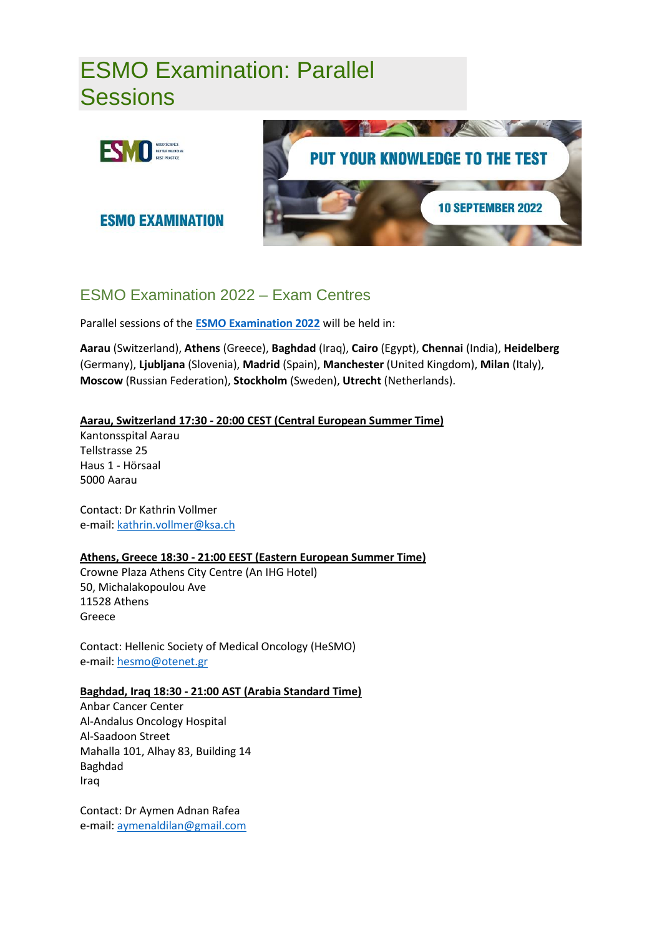# ESMO Examination: Parallel **Sessions**



**ESMO EXAMINATION** 



# ESMO Examination 2022 – Exam Centres

Parallel sessions of the **[ESMO Examination 2022](https://www.esmo.org/career-development/esmo-examination)** will be held in:

**Aarau** (Switzerland), **Athens** (Greece), **Baghdad** (Iraq), **Cairo** (Egypt), **Chennai** (India), **Heidelberg** (Germany), **Ljubljana** (Slovenia), **Madrid** (Spain), **Manchester** (United Kingdom), **Milan** (Italy), **Moscow** (Russian Federation), **Stockholm** (Sweden), **Utrecht** (Netherlands).

# **Aarau, Switzerland 17:30 - 20:00 CEST (Central European Summer Time)**

Kantonsspital Aarau Tellstrasse 25 Haus 1 - Hörsaal 5000 Aarau

Contact: Dr Kathrin Vollmer e-mail: [kathrin.vollmer@ksa.ch](mailto:kathrin.vollmer@ksa.ch)

# **Athens, Greece 18:30 - 21:00 EEST (Eastern European Summer Time)**

Crowne Plaza Athens City Centre (An IHG Hotel) 50, Michalakopoulou Ave 11528 Athens Greece

Contact: Hellenic Society of Medical Oncology (HeSMO) e-mail: [hesmo@otenet.gr](mailto:hesmo@otenet.gr)

# **Baghdad, Iraq 18:30 - 21:00 AST (Arabia Standard Time)**

Anbar Cancer Center Al-Andalus Oncology Hospital Al-Saadoon Street Mahalla 101, Alhay 83, Building 14 Baghdad Iraq

Contact: Dr Aymen Adnan Rafea e-mail: [aymenaldilan@gmail.com](mailto:aymenaldilan@gmail.com)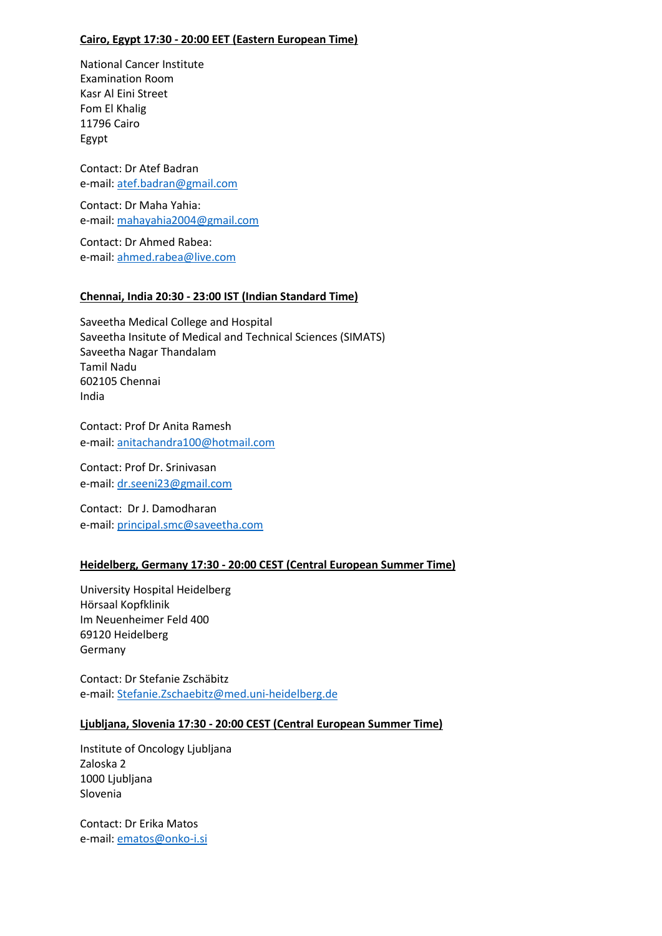#### **Cairo, Egypt 17:30 - 20:00 EET (Eastern European Time)**

National Cancer Institute Examination Room Kasr Al Eini Street Fom El Khalig 11796 Cairo Egypt

Contact: Dr Atef Badran e-mail: [atef.badran@gmail.com](mailto:atef.badran@gmail.com)

Contact: Dr Maha Yahia: e-mail: [mahayahia2004@gmail.com](mailto:mahayahia2004@gmail.com)

Contact: Dr Ahmed Rabea: e-mail: ahmed.rabea@live.com

#### **Chennai, India 20:30 - 23:00 IST (Indian Standard Time)**

Saveetha Medical College and Hospital Saveetha Insitute of Medical and Technical Sciences (SIMATS) Saveetha Nagar Thandalam Tamil Nadu 602105 Chennai India

Contact: Prof Dr Anita Ramesh e-mail: [anitachandra100@hotmail.com](mailto:anitachandra100@hotmail.com)

Contact: Prof Dr. Srinivasan e-mail: [dr.seeni23@gmail.com](mailto:dr.seeni23@gmail.com)

Contact: Dr J. Damodharan e-mail: [principal.smc@saveetha.com](mailto:principal.smc@saveetha.com)

# **Heidelberg, Germany 17:30 - 20:00 CEST (Central European Summer Time)**

University Hospital Heidelberg Hörsaal Kopfklinik Im Neuenheimer Feld 400 69120 Heidelberg Germany

Contact: Dr Stefanie Zschäbitz e-mail: [Stefanie.Zschaebitz@med.uni-heidelberg.de](mailto:Stefanie.Zschaebitz@med.uni-heidelberg.de)

#### **Ljubljana, Slovenia 17:30 - 20:00 CEST (Central European Summer Time)**

Institute of Oncology Ljubljana Zaloska 2 1000 Ljubljana Slovenia

Contact: Dr Erika Matos e-mail: [ematos@onko-i.si](mailto:ematos@onko-i.si)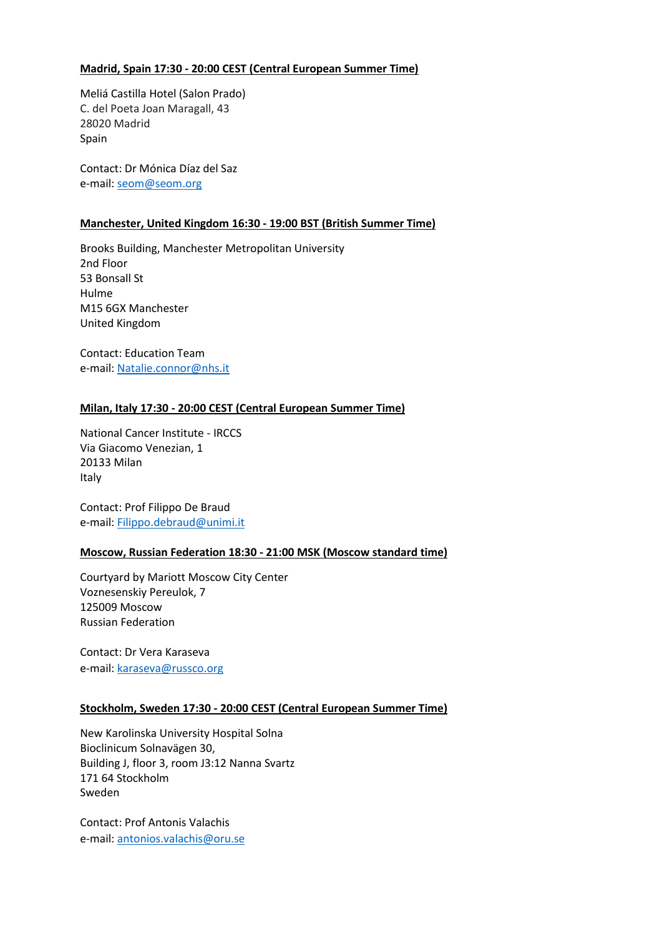#### **Madrid, Spain 17:30 - 20:00 CEST (Central European Summer Time)**

Meliá Castilla Hotel (Salon Prado) C. del Poeta Joan Maragall, 43 28020 Madrid Spain

Contact: Dr Mónica Díaz del Saz e-mail: [seom@seom.org](mailto:seom@seom.org)

#### **Manchester, United Kingdom 16:30 - 19:00 BST (British Summer Time)**

Brooks Building, Manchester Metropolitan University 2nd Floor 53 Bonsall St Hulme M15 6GX Manchester United Kingdom

Contact: Education Team e-mail: Natalie.connor@nhs.it

# **Milan, Italy 17:30 - 20:00 CEST (Central European Summer Time)**

National Cancer Institute - IRCCS Via Giacomo Venezian, 1 20133 Milan Italy

Contact: Prof Filippo De Braud e-mail: [Filippo.debraud@unimi.it](mailto:Filippo.debraud@unimi.it)

#### **Moscow, Russian Federation 18:30 - 21:00 MSK (Moscow standard time)**

Courtyard by Mariott Moscow City Center Voznesenskiy Pereulok, 7 125009 Moscow Russian Federation

Contact: Dr Vera Karaseva e-mail: [karaseva@russco.org](mailto:karaseva@russco.org)

#### **Stockholm, Sweden 17:30 - 20:00 CEST (Central European Summer Time)**

New Karolinska University Hospital Solna Bioclinicum Solnavägen 30, Building J, floor 3, room J3:12 Nanna Svartz 171 64 Stockholm Sweden

Contact: Prof Antonis Valachis e-mail: [antonios.valachis@oru.se](mailto:antonios.valachis@oru.se)